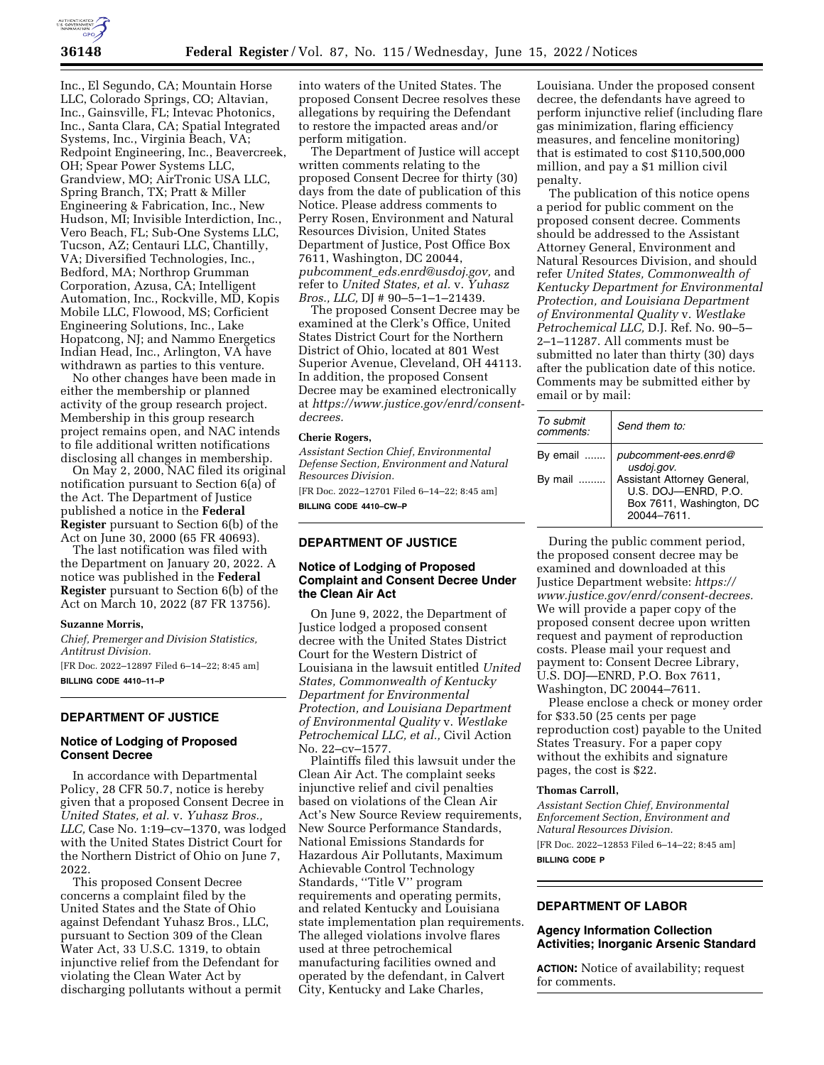

Inc., El Segundo, CA; Mountain Horse LLC, Colorado Springs, CO; Altavian, Inc., Gainsville, FL; Intevac Photonics, Inc., Santa Clara, CA; Spatial Integrated Systems, Inc., Virginia Beach, VA; Redpoint Engineering, Inc., Beavercreek, OH; Spear Power Systems LLC, Grandview, MO; AirTronic USA LLC, Spring Branch, TX; Pratt & Miller Engineering & Fabrication, Inc., New Hudson, MI; Invisible Interdiction, Inc., Vero Beach, FL; Sub-One Systems LLC, Tucson, AZ; Centauri LLC, Chantilly, VA; Diversified Technologies, Inc., Bedford, MA; Northrop Grumman Corporation, Azusa, CA; Intelligent Automation, Inc., Rockville, MD, Kopis Mobile LLC, Flowood, MS; Corficient Engineering Solutions, Inc., Lake Hopatcong, NJ; and Nammo Energetics Indian Head, Inc., Arlington, VA have withdrawn as parties to this venture.

No other changes have been made in either the membership or planned activity of the group research project. Membership in this group research project remains open, and NAC intends to file additional written notifications disclosing all changes in membership.

On May 2, 2000, NAC filed its original notification pursuant to Section 6(a) of the Act. The Department of Justice published a notice in the **Federal Register** pursuant to Section 6(b) of the Act on June 30, 2000 (65 FR 40693).

The last notification was filed with the Department on January 20, 2022. A notice was published in the **Federal Register** pursuant to Section 6(b) of the Act on March 10, 2022 (87 FR 13756).

#### **Suzanne Morris,**

*Chief, Premerger and Division Statistics, Antitrust Division.* 

[FR Doc. 2022–12897 Filed 6–14–22; 8:45 am] **BILLING CODE 4410–11–P** 

## **DEPARTMENT OF JUSTICE**

## **Notice of Lodging of Proposed Consent Decree**

In accordance with Departmental Policy, 28 CFR 50.7, notice is hereby given that a proposed Consent Decree in *United States, et al.* v. *Yuhasz Bros., LLC,* Case No. 1:19–cv–1370, was lodged with the United States District Court for the Northern District of Ohio on June 7, 2022.

This proposed Consent Decree concerns a complaint filed by the United States and the State of Ohio against Defendant Yuhasz Bros., LLC, pursuant to Section 309 of the Clean Water Act, 33 U.S.C. 1319, to obtain injunctive relief from the Defendant for violating the Clean Water Act by discharging pollutants without a permit

into waters of the United States. The proposed Consent Decree resolves these allegations by requiring the Defendant to restore the impacted areas and/or perform mitigation.

The Department of Justice will accept written comments relating to the proposed Consent Decree for thirty (30) days from the date of publication of this Notice. Please address comments to Perry Rosen, Environment and Natural Resources Division, United States Department of Justice, Post Office Box 7611, Washington, DC 20044, *pubcomment*\_*[eds.enrd@usdoj.gov,](mailto:pubcomment_eds.enrd@usdoj.gov)* and refer to *United States, et al.* v. *Yuhasz Bros., LLC,* DJ # 90–5–1–1–21439.

The proposed Consent Decree may be examined at the Clerk's Office, United States District Court for the Northern District of Ohio, located at 801 West Superior Avenue, Cleveland, OH 44113. In addition, the proposed Consent Decree may be examined electronically at *[https://www.justice.gov/enrd/consent](https://www.justice.gov/enrd/consent-decrees)[decrees.](https://www.justice.gov/enrd/consent-decrees)* 

#### **Cherie Rogers,**

*Assistant Section Chief, Environmental Defense Section, Environment and Natural Resources Division.* 

[FR Doc. 2022–12701 Filed 6–14–22; 8:45 am] **BILLING CODE 4410–CW–P** 

#### **DEPARTMENT OF JUSTICE**

### **Notice of Lodging of Proposed Complaint and Consent Decree Under the Clean Air Act**

On June 9, 2022, the Department of Justice lodged a proposed consent decree with the United States District Court for the Western District of Louisiana in the lawsuit entitled *United States, Commonwealth of Kentucky Department for Environmental Protection, and Louisiana Department of Environmental Quality* v. *Westlake Petrochemical LLC, et al.,* Civil Action No. 22–cv–1577.

Plaintiffs filed this lawsuit under the Clean Air Act. The complaint seeks injunctive relief and civil penalties based on violations of the Clean Air Act's New Source Review requirements, New Source Performance Standards, National Emissions Standards for Hazardous Air Pollutants, Maximum Achievable Control Technology Standards, ''Title V'' program requirements and operating permits, and related Kentucky and Louisiana state implementation plan requirements. The alleged violations involve flares used at three petrochemical manufacturing facilities owned and operated by the defendant, in Calvert City, Kentucky and Lake Charles,

Louisiana. Under the proposed consent decree, the defendants have agreed to perform injunctive relief (including flare gas minimization, flaring efficiency measures, and fenceline monitoring) that is estimated to cost \$110,500,000 million, and pay a \$1 million civil penalty.

The publication of this notice opens a period for public comment on the proposed consent decree. Comments should be addressed to the Assistant Attorney General, Environment and Natural Resources Division, and should refer *United States, Commonwealth of Kentucky Department for Environmental Protection, and Louisiana Department of Environmental Quality* v. *Westlake Petrochemical LLC,* D.J. Ref. No. 90–5– 2–1–11287. All comments must be submitted no later than thirty (30) days after the publication date of this notice. Comments may be submitted either by email or by mail:

| To submit<br>comments: | Send them to:                                                                                |
|------------------------|----------------------------------------------------------------------------------------------|
| By email               | pubcomment-ees.enrd@<br>usdoj.gov.                                                           |
| By mail                | Assistant Attorney General,<br>U.S. DOJ-ENRD, P.O.<br>Box 7611, Washington, DC<br>20044-7611 |

During the public comment period, the proposed consent decree may be examined and downloaded at this Justice Department website: *[https://](https://www.justice.gov/enrd/consent-decrees) [www.justice.gov/enrd/consent-decrees.](https://www.justice.gov/enrd/consent-decrees)*  We will provide a paper copy of the proposed consent decree upon written request and payment of reproduction costs. Please mail your request and payment to: Consent Decree Library, U.S. DOJ—ENRD, P.O. Box 7611, Washington, DC 20044–7611.

Please enclose a check or money order for \$33.50 (25 cents per page reproduction cost) payable to the United States Treasury. For a paper copy without the exhibits and signature pages, the cost is \$22.

#### **Thomas Carroll,**

*Assistant Section Chief, Environmental Enforcement Section, Environment and Natural Resources Division.*  [FR Doc. 2022–12853 Filed 6–14–22; 8:45 am]

**BILLING CODE P** 

# **DEPARTMENT OF LABOR**

# **Agency Information Collection Activities; Inorganic Arsenic Standard**

**ACTION:** Notice of availability; request for comments.